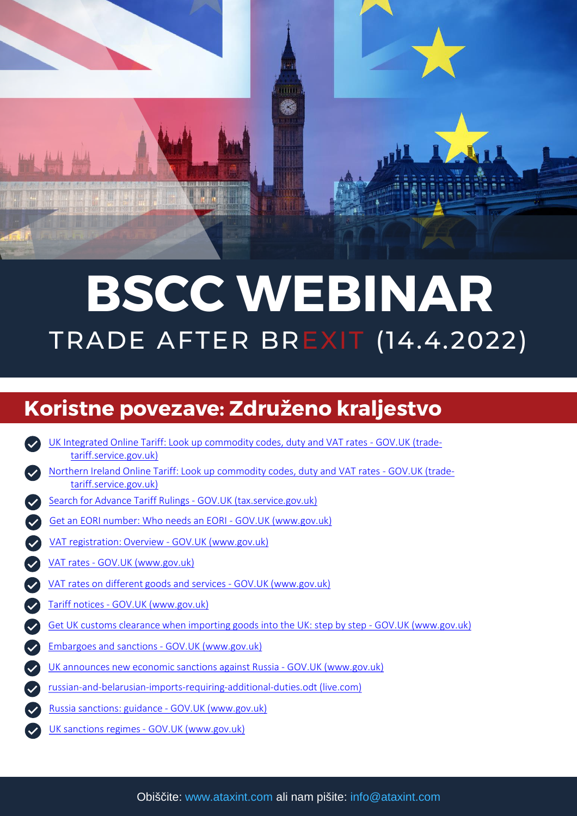

# TRADE AFTER BREXIT (14.4.2022) BSCC WEBINAR

### Koristne povezave: Združeno kraljestvo

[UK Integrated Online Tariff: Look up commodity codes, duty and VAT rates -](https://www.trade-tariff.service.gov.uk/find_commodity) GOV.UK (tradetariff.service.gov.uk) [Search for Advance Tariff Rulings -](https://www.tax.service.gov.uk/search-for-advance-tariff-rulings/search?enableTrackingConsent=true) GOV.UK (tax.service.gov.uk) [Get an EORI number: Who needs an EORI -](https://www.gov.uk/eori) GOV.UK (www.gov.uk) [VAT registration: Overview](https://www.gov.uk/vat-registration) - GOV.UK (www.gov.uk) VAT rates - [GOV.UK \(www.gov.uk\)](https://www.gov.uk/vat-rates) [VAT rates on different goods and services -](https://www.gov.uk/guidance/rates-of-vat-on-different-goods-and-services) GOV.UK (www.gov.uk) Tariff notices - [GOV.UK \(www.gov.uk\)](https://www.gov.uk/government/collections/tariff-notices) [Get UK customs clearance when importing goods into the UK: step by step -](https://www.gov.uk/import-customs-declaration) GOV.UK (www.gov.uk) [Embargoes and sanctions -](https://www.gov.uk/business-and-industry/embargoes-and-sanctions) GOV.UK (www.gov.uk) [UK announces new economic sanctions against Russia -](https://www.gov.uk/government/news/uk-announces-new-economic-sanctions-against-russia) GOV.UK (www.gov.uk) [russian-and-belarusian-imports-requiring-additional-duties.odt](https://view.officeapps.live.com/op/view.aspx?src=https%3A%2F%2Fassets.publishing.service.gov.uk%2Fgovernment%2Fuploads%2Fsystem%2Fuploads%2Fattachment_data%2Ffile%2F1063873%2Frussian-and-belarusian-imports-requiring-additional-duties.odt&wdOrigin=BROWSELINK) (live.com) Russia sanctions: guidance - [GOV.UK \(www.gov.uk\)](https://www.gov.uk/government/publications/russia-sanctions-guidance/russia-sanctions-guidance) UK sanctions regimes - [GOV.UK \(www.gov.uk\)](https://www.gov.uk/government/collections/uk-sanctions-regimes-under-the-sanctions-act) [Northern Ireland Online Tariff: Look up commodity codes, duty and VAT rates -](https://www.trade-tariff.service.gov.uk/xi/find_commodity) GOV.UK (tradetariff.service.gov.uk)